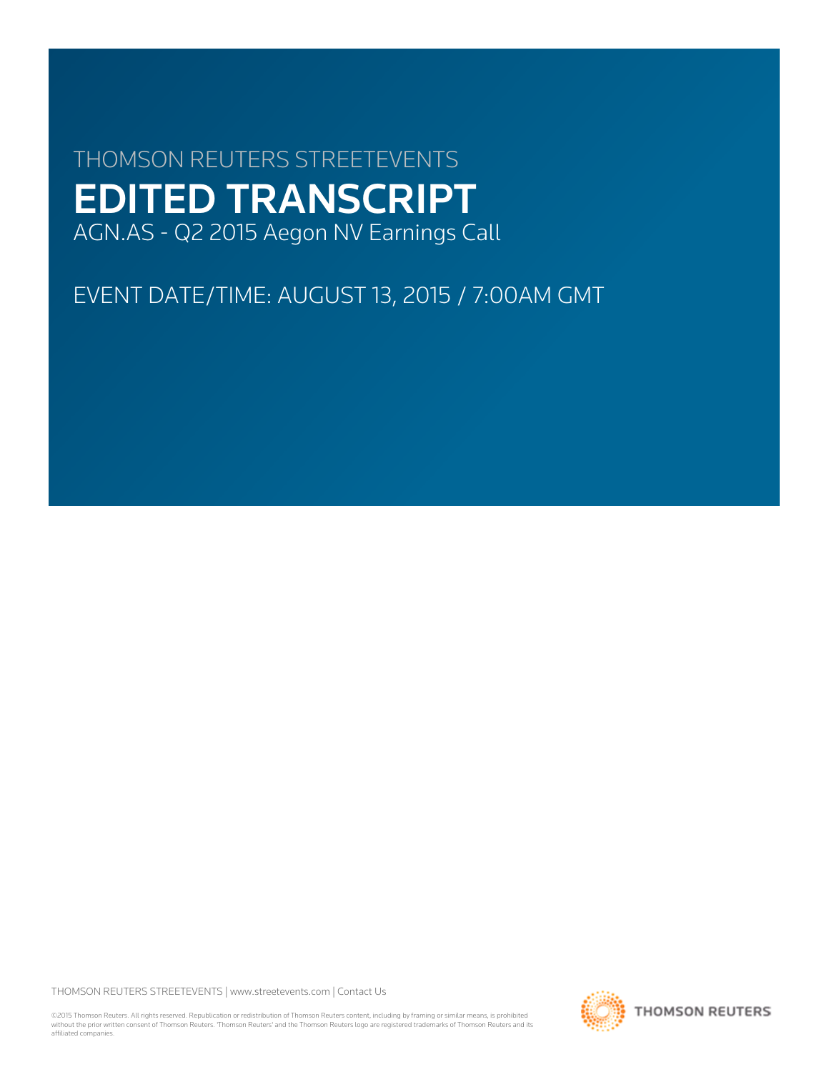# THOMSON REUTERS STREETEVENTS EDITED TRANSCRIPT AGN.AS - Q2 2015 Aegon NV Earnings Call

EVENT DATE/TIME: AUGUST 13, 2015 / 7:00AM GMT

THOMSON REUTERS STREETEVENTS | [www.streetevents.com](http://www.streetevents.com) | [Contact Us](http://www010.streetevents.com/contact.asp)

©2015 Thomson Reuters. All rights reserved. Republication or redistribution of Thomson Reuters content, including by framing or similar means, is prohibited without the prior written consent of Thomson Reuters. 'Thomson Reuters' and the Thomson Reuters logo are registered trademarks of Thomson Reuters and its affiliated companies.

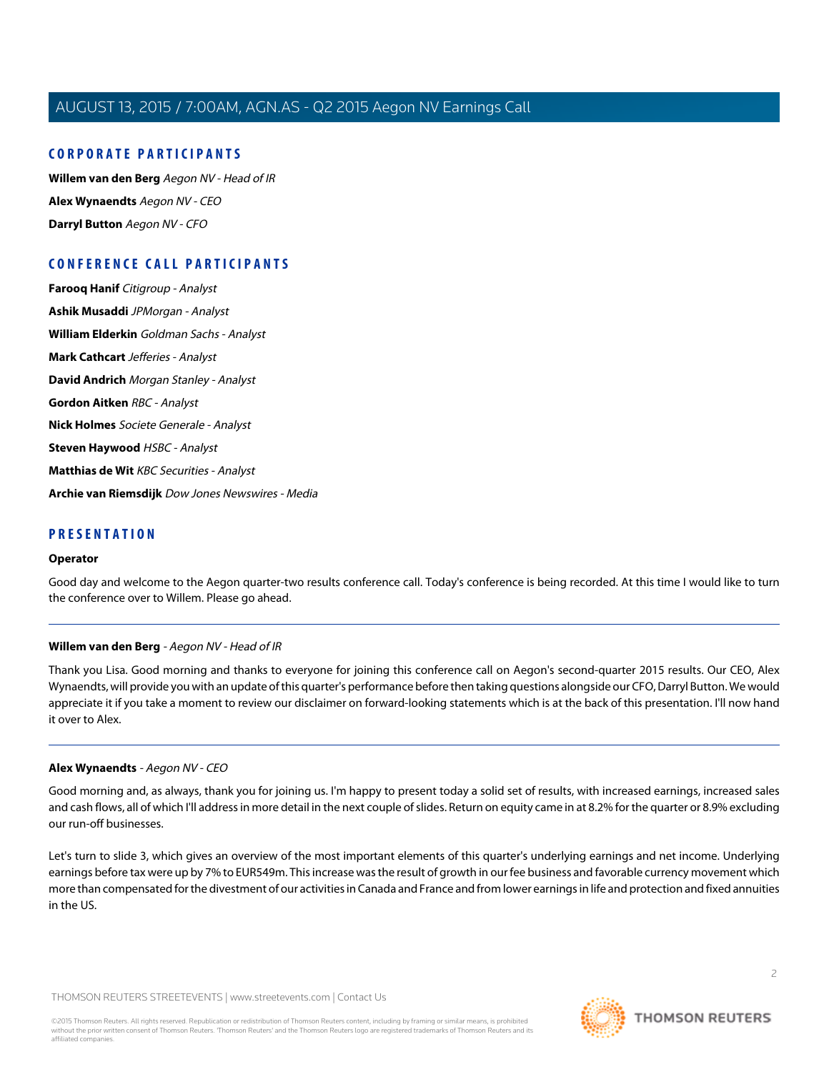### **CORPORATE PARTICIPANTS**

**[Willem van den Berg](#page-1-0)** Aegon NV - Head of IR **[Alex Wynaendts](#page-1-1)** Aegon NV - CEO **[Darryl Button](#page-4-0)** Aegon NV - CFO

### **CONFERENCE CALL PARTICIPANTS**

**[Farooq Hanif](#page-4-1)** Citigroup - Analyst **[Ashik Musaddi](#page-6-0)** JPMorgan - Analyst **[William Elderkin](#page-7-0)** Goldman Sachs - Analyst **[Mark Cathcart](#page-8-0)** Jefferies - Analyst **[David Andrich](#page-9-0)** Morgan Stanley - Analyst **[Gordon Aitken](#page-9-1)** RBC - Analyst **[Nick Holmes](#page-10-0)** Societe Generale - Analyst **[Steven Haywood](#page-12-0)** HSBC - Analyst **[Matthias de Wit](#page-14-0)** KBC Securities - Analyst **[Archie van Riemsdijk](#page-16-0)** Dow Jones Newswires - Media

### **PRESENTATION**

#### **Operator**

<span id="page-1-0"></span>Good day and welcome to the Aegon quarter-two results conference call. Today's conference is being recorded. At this time I would like to turn the conference over to Willem. Please go ahead.

### **Willem van den Berg** - Aegon NV - Head of IR

<span id="page-1-1"></span>Thank you Lisa. Good morning and thanks to everyone for joining this conference call on Aegon's second-quarter 2015 results. Our CEO, Alex Wynaendts, will provide you with an update of this quarter's performance before then taking questions alongside our CFO, Darryl Button. We would appreciate it if you take a moment to review our disclaimer on forward-looking statements which is at the back of this presentation. I'll now hand it over to Alex.

### **Alex Wynaendts** - Aegon NV - CEO

Good morning and, as always, thank you for joining us. I'm happy to present today a solid set of results, with increased earnings, increased sales and cash flows, all of which I'll address in more detail in the next couple of slides. Return on equity came in at 8.2% for the quarter or 8.9% excluding our run-off businesses.

Let's turn to slide 3, which gives an overview of the most important elements of this quarter's underlying earnings and net income. Underlying earnings before tax were up by 7% to EUR549m. This increase was the result of growth in our fee business and favorable currency movement which more than compensated for the divestment of our activities in Canada and France and from lower earnings in life and protection and fixed annuities in the US.

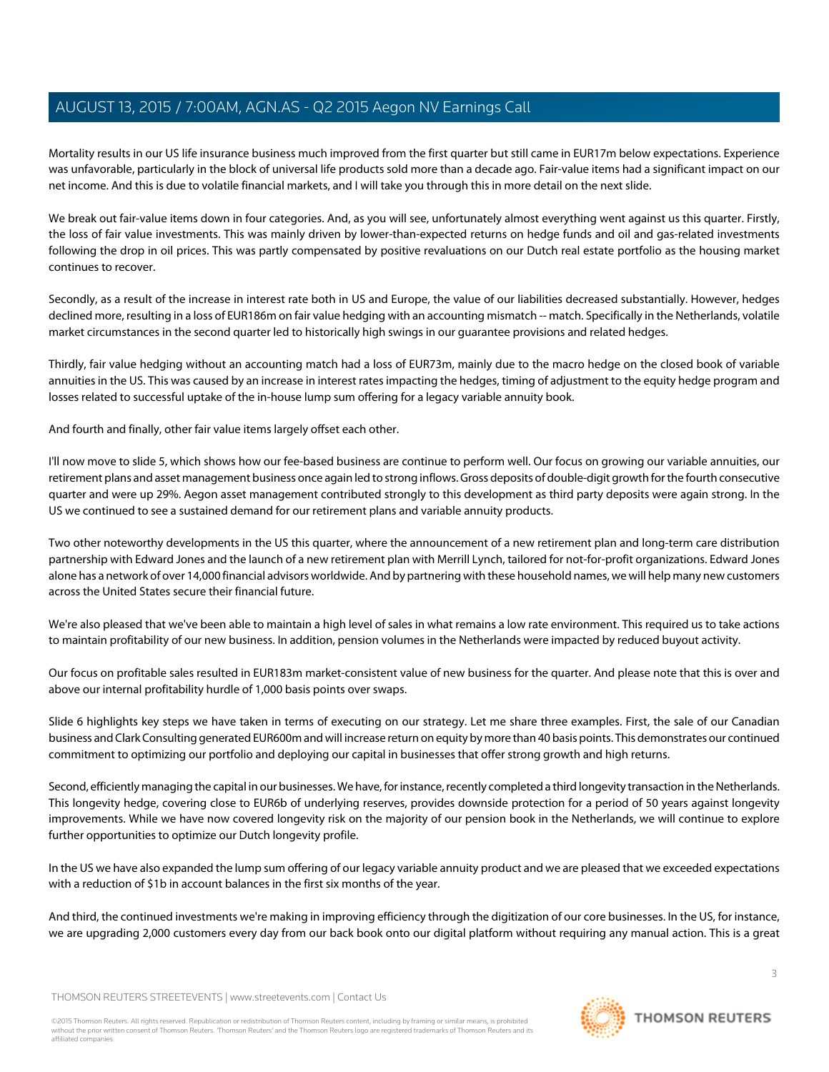Mortality results in our US life insurance business much improved from the first quarter but still came in EUR17m below expectations. Experience was unfavorable, particularly in the block of universal life products sold more than a decade ago. Fair-value items had a significant impact on our net income. And this is due to volatile financial markets, and I will take you through this in more detail on the next slide.

We break out fair-value items down in four categories. And, as you will see, unfortunately almost everything went against us this quarter. Firstly, the loss of fair value investments. This was mainly driven by lower-than-expected returns on hedge funds and oil and gas-related investments following the drop in oil prices. This was partly compensated by positive revaluations on our Dutch real estate portfolio as the housing market continues to recover.

Secondly, as a result of the increase in interest rate both in US and Europe, the value of our liabilities decreased substantially. However, hedges declined more, resulting in a loss of EUR186m on fair value hedging with an accounting mismatch -- match. Specifically in the Netherlands, volatile market circumstances in the second quarter led to historically high swings in our guarantee provisions and related hedges.

Thirdly, fair value hedging without an accounting match had a loss of EUR73m, mainly due to the macro hedge on the closed book of variable annuities in the US. This was caused by an increase in interest rates impacting the hedges, timing of adjustment to the equity hedge program and losses related to successful uptake of the in-house lump sum offering for a legacy variable annuity book.

And fourth and finally, other fair value items largely offset each other.

I'll now move to slide 5, which shows how our fee-based business are continue to perform well. Our focus on growing our variable annuities, our retirement plans and asset management business once again led to strong inflows. Gross deposits of double-digit growth for the fourth consecutive quarter and were up 29%. Aegon asset management contributed strongly to this development as third party deposits were again strong. In the US we continued to see a sustained demand for our retirement plans and variable annuity products.

Two other noteworthy developments in the US this quarter, where the announcement of a new retirement plan and long-term care distribution partnership with Edward Jones and the launch of a new retirement plan with Merrill Lynch, tailored for not-for-profit organizations. Edward Jones alone has a network of over 14,000 financial advisors worldwide. And by partnering with these household names, we will help many new customers across the United States secure their financial future.

We're also pleased that we've been able to maintain a high level of sales in what remains a low rate environment. This required us to take actions to maintain profitability of our new business. In addition, pension volumes in the Netherlands were impacted by reduced buyout activity.

Our focus on profitable sales resulted in EUR183m market-consistent value of new business for the quarter. And please note that this is over and above our internal profitability hurdle of 1,000 basis points over swaps.

Slide 6 highlights key steps we have taken in terms of executing on our strategy. Let me share three examples. First, the sale of our Canadian business and Clark Consulting generated EUR600m and will increase return on equity by more than 40 basis points. This demonstrates our continued commitment to optimizing our portfolio and deploying our capital in businesses that offer strong growth and high returns.

Second, efficiently managing the capital in our businesses. We have, for instance, recently completed a third longevity transaction in the Netherlands. This longevity hedge, covering close to EUR6b of underlying reserves, provides downside protection for a period of 50 years against longevity improvements. While we have now covered longevity risk on the majority of our pension book in the Netherlands, we will continue to explore further opportunities to optimize our Dutch longevity profile.

In the US we have also expanded the lump sum offering of our legacy variable annuity product and we are pleased that we exceeded expectations with a reduction of \$1b in account balances in the first six months of the year.

And third, the continued investments we're making in improving efficiency through the digitization of our core businesses. In the US, for instance, we are upgrading 2,000 customers every day from our back book onto our digital platform without requiring any manual action. This is a great

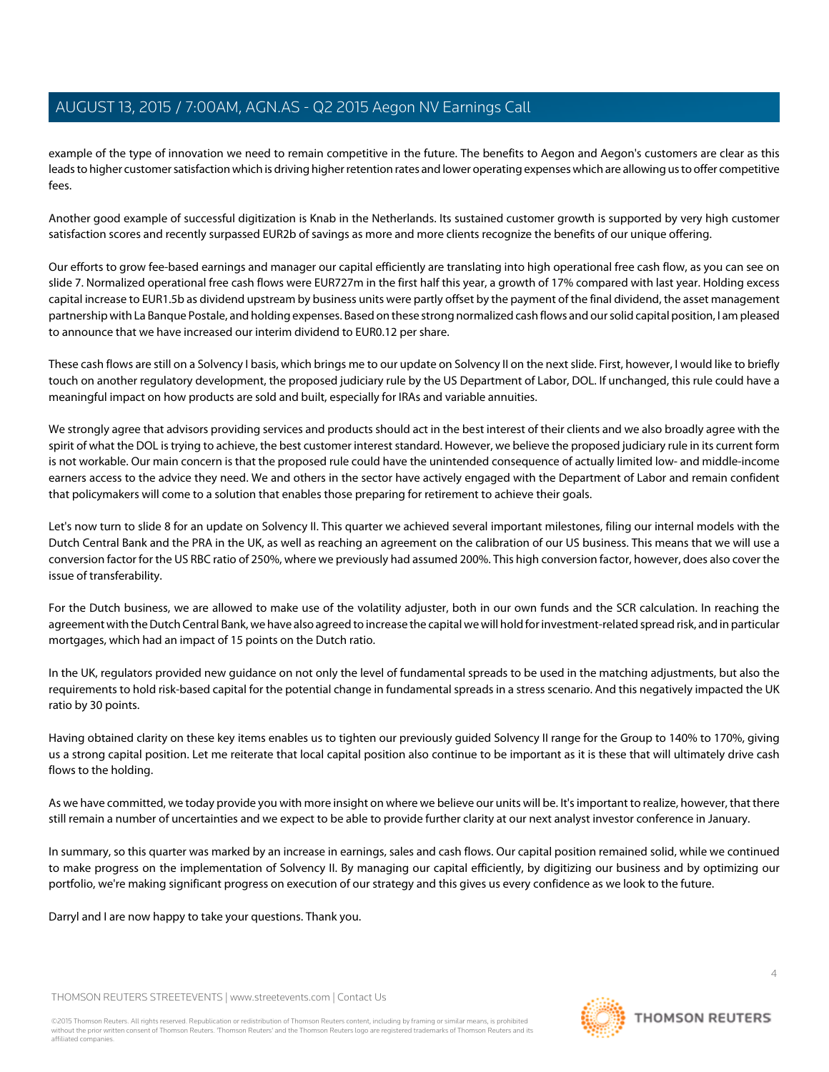example of the type of innovation we need to remain competitive in the future. The benefits to Aegon and Aegon's customers are clear as this leads to higher customer satisfaction which is driving higher retention rates and lower operating expenses which are allowing us to offer competitive fees.

Another good example of successful digitization is Knab in the Netherlands. Its sustained customer growth is supported by very high customer satisfaction scores and recently surpassed EUR2b of savings as more and more clients recognize the benefits of our unique offering.

Our efforts to grow fee-based earnings and manager our capital efficiently are translating into high operational free cash flow, as you can see on slide 7. Normalized operational free cash flows were EUR727m in the first half this year, a growth of 17% compared with last year. Holding excess capital increase to EUR1.5b as dividend upstream by business units were partly offset by the payment of the final dividend, the asset management partnership with La Banque Postale, and holding expenses. Based on these strong normalized cash flows and our solid capital position, I am pleased to announce that we have increased our interim dividend to EUR0.12 per share.

These cash flows are still on a Solvency I basis, which brings me to our update on Solvency II on the next slide. First, however, I would like to briefly touch on another regulatory development, the proposed judiciary rule by the US Department of Labor, DOL. If unchanged, this rule could have a meaningful impact on how products are sold and built, especially for IRAs and variable annuities.

We strongly agree that advisors providing services and products should act in the best interest of their clients and we also broadly agree with the spirit of what the DOL is trying to achieve, the best customer interest standard. However, we believe the proposed judiciary rule in its current form is not workable. Our main concern is that the proposed rule could have the unintended consequence of actually limited low- and middle-income earners access to the advice they need. We and others in the sector have actively engaged with the Department of Labor and remain confident that policymakers will come to a solution that enables those preparing for retirement to achieve their goals.

Let's now turn to slide 8 for an update on Solvency II. This quarter we achieved several important milestones, filing our internal models with the Dutch Central Bank and the PRA in the UK, as well as reaching an agreement on the calibration of our US business. This means that we will use a conversion factor for the US RBC ratio of 250%, where we previously had assumed 200%. This high conversion factor, however, does also cover the issue of transferability.

For the Dutch business, we are allowed to make use of the volatility adjuster, both in our own funds and the SCR calculation. In reaching the agreement with the Dutch Central Bank, we have also agreed to increase the capital we will hold for investment-related spread risk, and in particular mortgages, which had an impact of 15 points on the Dutch ratio.

In the UK, regulators provided new guidance on not only the level of fundamental spreads to be used in the matching adjustments, but also the requirements to hold risk-based capital for the potential change in fundamental spreads in a stress scenario. And this negatively impacted the UK ratio by 30 points.

Having obtained clarity on these key items enables us to tighten our previously guided Solvency II range for the Group to 140% to 170%, giving us a strong capital position. Let me reiterate that local capital position also continue to be important as it is these that will ultimately drive cash flows to the holding.

As we have committed, we today provide you with more insight on where we believe our units will be. It's important to realize, however, that there still remain a number of uncertainties and we expect to be able to provide further clarity at our next analyst investor conference in January.

In summary, so this quarter was marked by an increase in earnings, sales and cash flows. Our capital position remained solid, while we continued to make progress on the implementation of Solvency II. By managing our capital efficiently, by digitizing our business and by optimizing our portfolio, we're making significant progress on execution of our strategy and this gives us every confidence as we look to the future.

Darryl and I are now happy to take your questions. Thank you.

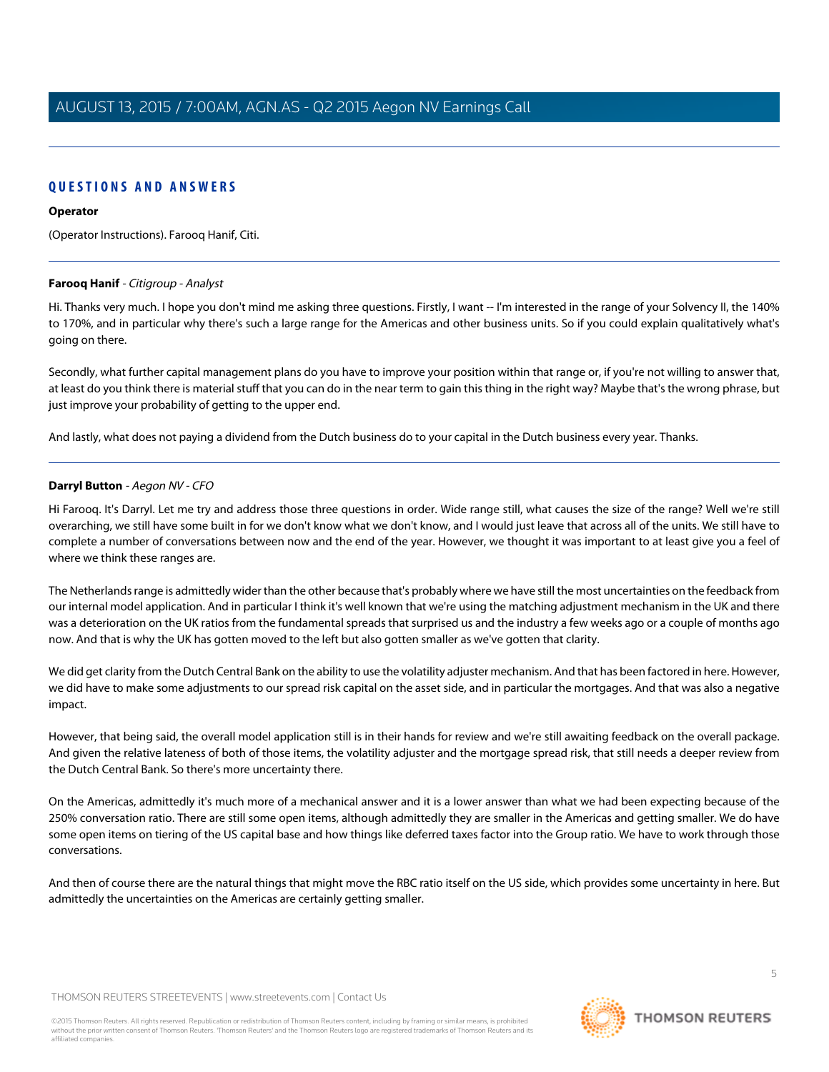### **QUESTIONS AND ANSWERS**

#### **Operator**

<span id="page-4-1"></span>(Operator Instructions). Farooq Hanif, Citi.

### **Farooq Hanif** - Citigroup - Analyst

Hi. Thanks very much. I hope you don't mind me asking three questions. Firstly, I want -- I'm interested in the range of your Solvency II, the 140% to 170%, and in particular why there's such a large range for the Americas and other business units. So if you could explain qualitatively what's going on there.

Secondly, what further capital management plans do you have to improve your position within that range or, if you're not willing to answer that, at least do you think there is material stuff that you can do in the near term to gain this thing in the right way? Maybe that's the wrong phrase, but just improve your probability of getting to the upper end.

<span id="page-4-0"></span>And lastly, what does not paying a dividend from the Dutch business do to your capital in the Dutch business every year. Thanks.

### **Darryl Button** - Aegon NV - CFO

Hi Farooq. It's Darryl. Let me try and address those three questions in order. Wide range still, what causes the size of the range? Well we're still overarching, we still have some built in for we don't know what we don't know, and I would just leave that across all of the units. We still have to complete a number of conversations between now and the end of the year. However, we thought it was important to at least give you a feel of where we think these ranges are.

The Netherlands range is admittedly wider than the other because that's probably where we have still the most uncertainties on the feedback from our internal model application. And in particular I think it's well known that we're using the matching adjustment mechanism in the UK and there was a deterioration on the UK ratios from the fundamental spreads that surprised us and the industry a few weeks ago or a couple of months ago now. And that is why the UK has gotten moved to the left but also gotten smaller as we've gotten that clarity.

We did get clarity from the Dutch Central Bank on the ability to use the volatility adjuster mechanism. And that has been factored in here. However, we did have to make some adjustments to our spread risk capital on the asset side, and in particular the mortgages. And that was also a negative impact.

However, that being said, the overall model application still is in their hands for review and we're still awaiting feedback on the overall package. And given the relative lateness of both of those items, the volatility adjuster and the mortgage spread risk, that still needs a deeper review from the Dutch Central Bank. So there's more uncertainty there.

On the Americas, admittedly it's much more of a mechanical answer and it is a lower answer than what we had been expecting because of the 250% conversation ratio. There are still some open items, although admittedly they are smaller in the Americas and getting smaller. We do have some open items on tiering of the US capital base and how things like deferred taxes factor into the Group ratio. We have to work through those conversations.

And then of course there are the natural things that might move the RBC ratio itself on the US side, which provides some uncertainty in here. But admittedly the uncertainties on the Americas are certainly getting smaller.

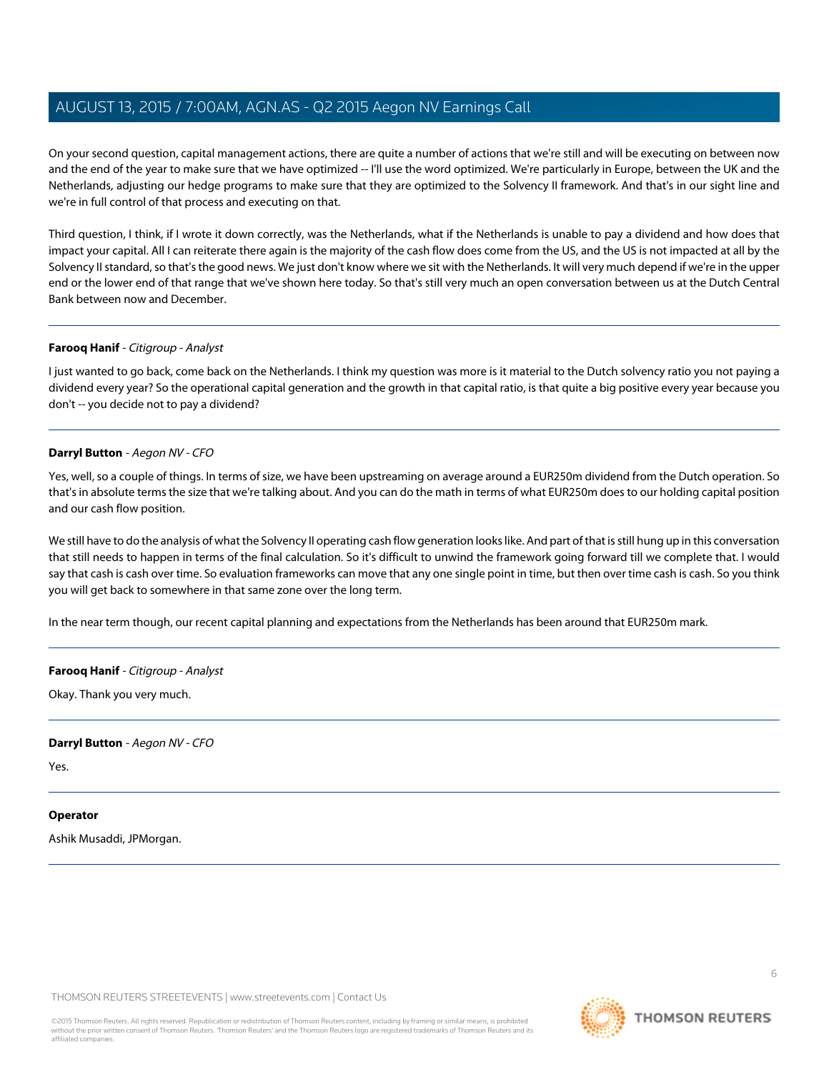On your second question, capital management actions, there are quite a number of actions that we're still and will be executing on between now and the end of the year to make sure that we have optimized -- I'll use the word optimized. We're particularly in Europe, between the UK and the Netherlands, adjusting our hedge programs to make sure that they are optimized to the Solvency II framework. And that's in our sight line and we're in full control of that process and executing on that.

Third question, I think, if I wrote it down correctly, was the Netherlands, what if the Netherlands is unable to pay a dividend and how does that impact your capital. All I can reiterate there again is the majority of the cash flow does come from the US, and the US is not impacted at all by the Solvency II standard, so that's the good news. We just don't know where we sit with the Netherlands. It will very much depend if we're in the upper end or the lower end of that range that we've shown here today. So that's still very much an open conversation between us at the Dutch Central Bank between now and December.

### **Farooq Hanif** - Citigroup - Analyst

I just wanted to go back, come back on the Netherlands. I think my question was more is it material to the Dutch solvency ratio you not paying a dividend every year? So the operational capital generation and the growth in that capital ratio, is that quite a big positive every year because you don't -- you decide not to pay a dividend?

### **Darryl Button** - Aegon NV - CFO

Yes, well, so a couple of things. In terms of size, we have been upstreaming on average around a EUR250m dividend from the Dutch operation. So that's in absolute terms the size that we're talking about. And you can do the math in terms of what EUR250m does to our holding capital position and our cash flow position.

We still have to do the analysis of what the Solvency II operating cash flow generation looks like. And part of that is still hung up in this conversation that still needs to happen in terms of the final calculation. So it's difficult to unwind the framework going forward till we complete that. I would say that cash is cash over time. So evaluation frameworks can move that any one single point in time, but then over time cash is cash. So you think you will get back to somewhere in that same zone over the long term.

In the near term though, our recent capital planning and expectations from the Netherlands has been around that EUR250m mark.

### **Farooq Hanif** - Citigroup - Analyst

Okay. Thank you very much.

### **Darryl Button** - Aegon NV - CFO

Yes.

### **Operator**

Ashik Musaddi, JPMorgan.

THOMSON REUTERS STREETEVENTS | [www.streetevents.com](http://www.streetevents.com) | [Contact Us](http://www010.streetevents.com/contact.asp)

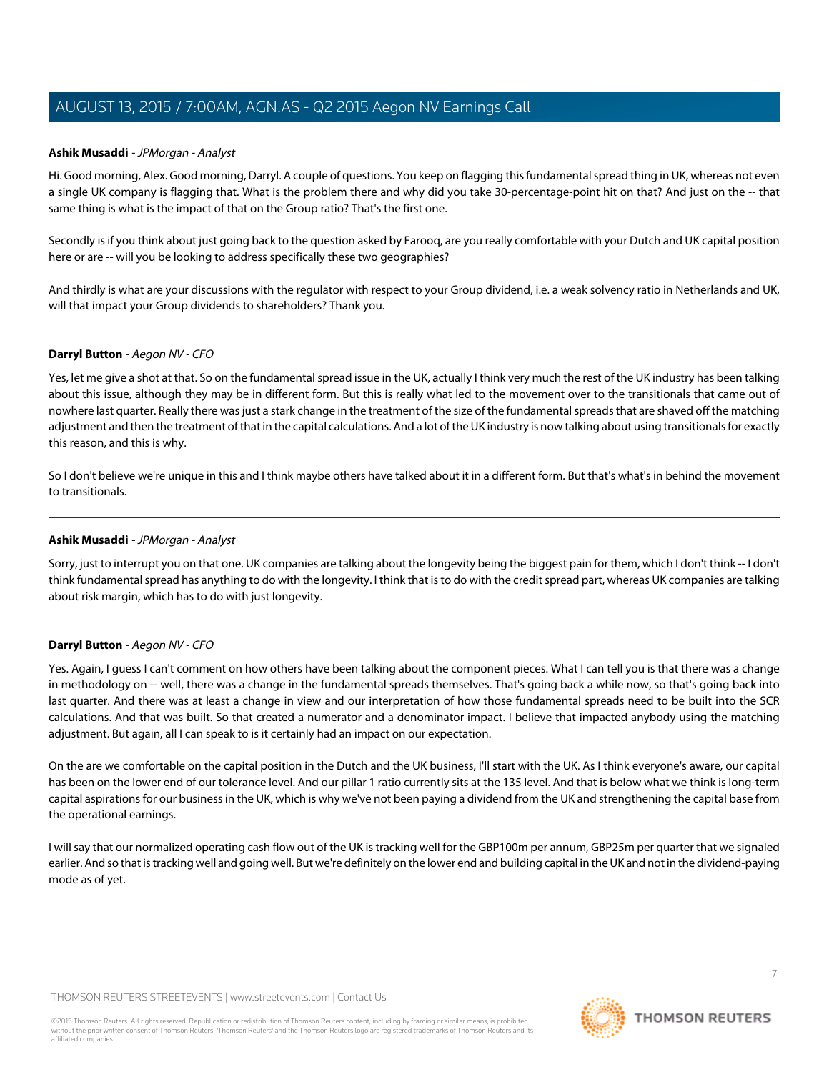### <span id="page-6-0"></span>**Ashik Musaddi** - JPMorgan - Analyst

Hi. Good morning, Alex. Good morning, Darryl. A couple of questions. You keep on flagging this fundamental spread thing in UK, whereas not even a single UK company is flagging that. What is the problem there and why did you take 30-percentage-point hit on that? And just on the -- that same thing is what is the impact of that on the Group ratio? That's the first one.

Secondly is if you think about just going back to the question asked by Farooq, are you really comfortable with your Dutch and UK capital position here or are -- will you be looking to address specifically these two geographies?

And thirdly is what are your discussions with the regulator with respect to your Group dividend, i.e. a weak solvency ratio in Netherlands and UK, will that impact your Group dividends to shareholders? Thank you.

### **Darryl Button** - Aegon NV - CFO

Yes, let me give a shot at that. So on the fundamental spread issue in the UK, actually I think very much the rest of the UK industry has been talking about this issue, although they may be in different form. But this is really what led to the movement over to the transitionals that came out of nowhere last quarter. Really there was just a stark change in the treatment of the size of the fundamental spreads that are shaved off the matching adjustment and then the treatment of that in the capital calculations. And a lot of the UK industry is now talking about using transitionals for exactly this reason, and this is why.

So I don't believe we're unique in this and I think maybe others have talked about it in a different form. But that's what's in behind the movement to transitionals.

### **Ashik Musaddi** - JPMorgan - Analyst

Sorry, just to interrupt you on that one. UK companies are talking about the longevity being the biggest pain for them, which I don't think -- I don't think fundamental spread has anything to do with the longevity. I think that is to do with the credit spread part, whereas UK companies are talking about risk margin, which has to do with just longevity.

### **Darryl Button** - Aegon NV - CFO

Yes. Again, I guess I can't comment on how others have been talking about the component pieces. What I can tell you is that there was a change in methodology on -- well, there was a change in the fundamental spreads themselves. That's going back a while now, so that's going back into last quarter. And there was at least a change in view and our interpretation of how those fundamental spreads need to be built into the SCR calculations. And that was built. So that created a numerator and a denominator impact. I believe that impacted anybody using the matching adjustment. But again, all I can speak to is it certainly had an impact on our expectation.

On the are we comfortable on the capital position in the Dutch and the UK business, I'll start with the UK. As I think everyone's aware, our capital has been on the lower end of our tolerance level. And our pillar 1 ratio currently sits at the 135 level. And that is below what we think is long-term capital aspirations for our business in the UK, which is why we've not been paying a dividend from the UK and strengthening the capital base from the operational earnings.

I will say that our normalized operating cash flow out of the UK is tracking well for the GBP100m per annum, GBP25m per quarter that we signaled earlier. And so that is tracking well and going well. But we're definitely on the lower end and building capital in the UK and not in the dividend-paying mode as of yet.

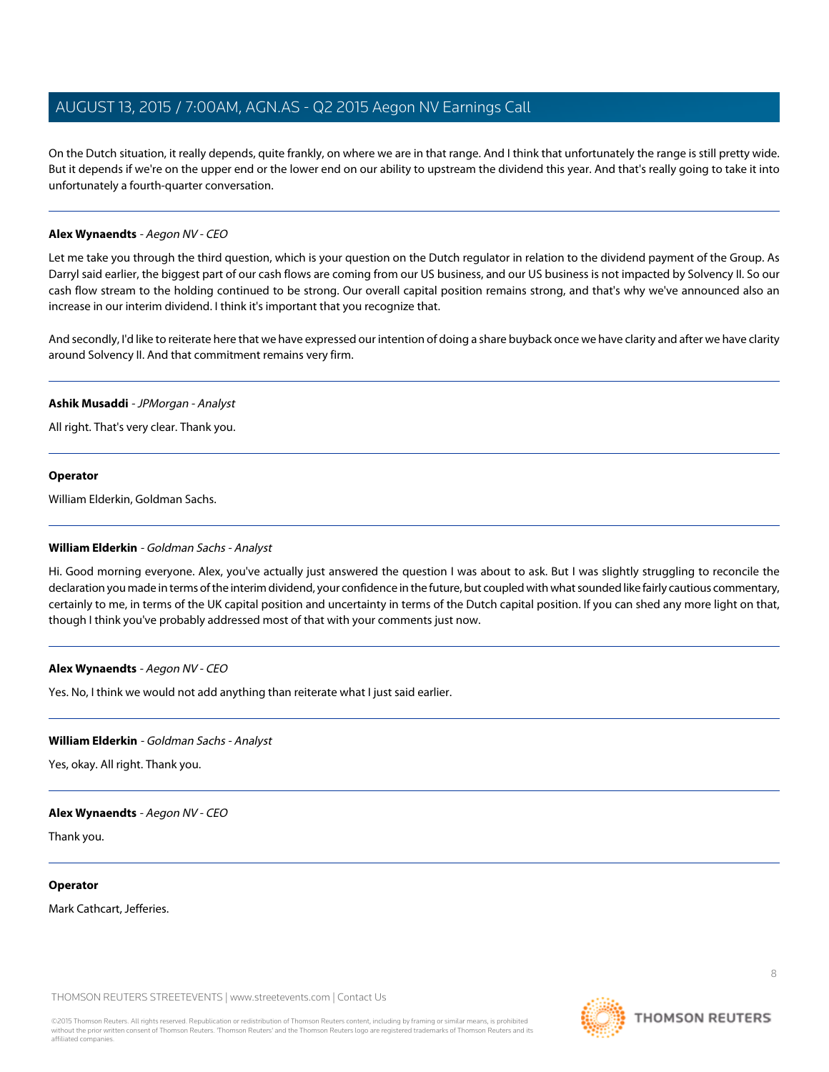On the Dutch situation, it really depends, quite frankly, on where we are in that range. And I think that unfortunately the range is still pretty wide. But it depends if we're on the upper end or the lower end on our ability to upstream the dividend this year. And that's really going to take it into unfortunately a fourth-quarter conversation.

### **Alex Wynaendts** - Aegon NV - CEO

Let me take you through the third question, which is your question on the Dutch regulator in relation to the dividend payment of the Group. As Darryl said earlier, the biggest part of our cash flows are coming from our US business, and our US business is not impacted by Solvency II. So our cash flow stream to the holding continued to be strong. Our overall capital position remains strong, and that's why we've announced also an increase in our interim dividend. I think it's important that you recognize that.

And secondly, I'd like to reiterate here that we have expressed our intention of doing a share buyback once we have clarity and after we have clarity around Solvency II. And that commitment remains very firm.

### **Ashik Musaddi** - JPMorgan - Analyst

All right. That's very clear. Thank you.

### **Operator**

<span id="page-7-0"></span>William Elderkin, Goldman Sachs.

### **William Elderkin** - Goldman Sachs - Analyst

Hi. Good morning everyone. Alex, you've actually just answered the question I was about to ask. But I was slightly struggling to reconcile the declaration you made in terms of the interim dividend, your confidence in the future, but coupled with what sounded like fairly cautious commentary, certainly to me, in terms of the UK capital position and uncertainty in terms of the Dutch capital position. If you can shed any more light on that, though I think you've probably addressed most of that with your comments just now.

### **Alex Wynaendts** - Aegon NV - CEO

Yes. No, I think we would not add anything than reiterate what I just said earlier.

### **William Elderkin** - Goldman Sachs - Analyst

Yes, okay. All right. Thank you.

### **Alex Wynaendts** - Aegon NV - CEO

Thank you.

#### **Operator**

Mark Cathcart, Jefferies.

THOMSON REUTERS STREETEVENTS | [www.streetevents.com](http://www.streetevents.com) | [Contact Us](http://www010.streetevents.com/contact.asp)

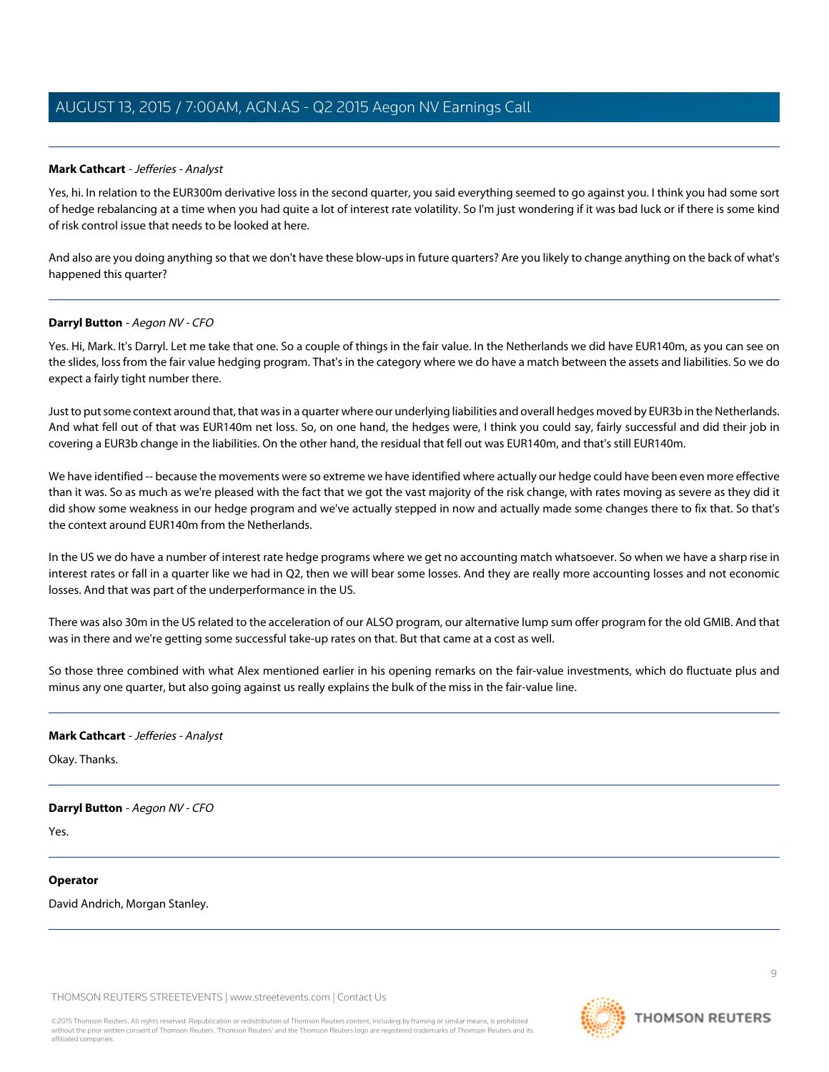### <span id="page-8-0"></span>**Mark Cathcart** - Jefferies - Analyst

Yes, hi. In relation to the EUR300m derivative loss in the second quarter, you said everything seemed to go against you. I think you had some sort of hedge rebalancing at a time when you had quite a lot of interest rate volatility. So I'm just wondering if it was bad luck or if there is some kind of risk control issue that needs to be looked at here.

And also are you doing anything so that we don't have these blow-ups in future quarters? Are you likely to change anything on the back of what's happened this quarter?

### **Darryl Button** - Aegon NV - CFO

Yes. Hi, Mark. It's Darryl. Let me take that one. So a couple of things in the fair value. In the Netherlands we did have EUR140m, as you can see on the slides, loss from the fair value hedging program. That's in the category where we do have a match between the assets and liabilities. So we do expect a fairly tight number there.

Just to put some context around that, that was in a quarter where our underlying liabilities and overall hedges moved by EUR3b in the Netherlands. And what fell out of that was EUR140m net loss. So, on one hand, the hedges were, I think you could say, fairly successful and did their job in covering a EUR3b change in the liabilities. On the other hand, the residual that fell out was EUR140m, and that's still EUR140m.

We have identified -- because the movements were so extreme we have identified where actually our hedge could have been even more effective than it was. So as much as we're pleased with the fact that we got the vast majority of the risk change, with rates moving as severe as they did it did show some weakness in our hedge program and we've actually stepped in now and actually made some changes there to fix that. So that's the context around EUR140m from the Netherlands.

In the US we do have a number of interest rate hedge programs where we get no accounting match whatsoever. So when we have a sharp rise in interest rates or fall in a quarter like we had in Q2, then we will bear some losses. And they are really more accounting losses and not economic losses. And that was part of the underperformance in the US.

There was also 30m in the US related to the acceleration of our ALSO program, our alternative lump sum offer program for the old GMIB. And that was in there and we're getting some successful take-up rates on that. But that came at a cost as well.

So those three combined with what Alex mentioned earlier in his opening remarks on the fair-value investments, which do fluctuate plus and minus any one quarter, but also going against us really explains the bulk of the miss in the fair-value line.

### **Mark Cathcart** - Jefferies - Analyst

Okay. Thanks.

### **Darryl Button** - Aegon NV - CFO

Yes.

### **Operator**

David Andrich, Morgan Stanley.

THOMSON REUTERS STREETEVENTS | [www.streetevents.com](http://www.streetevents.com) | [Contact Us](http://www010.streetevents.com/contact.asp)

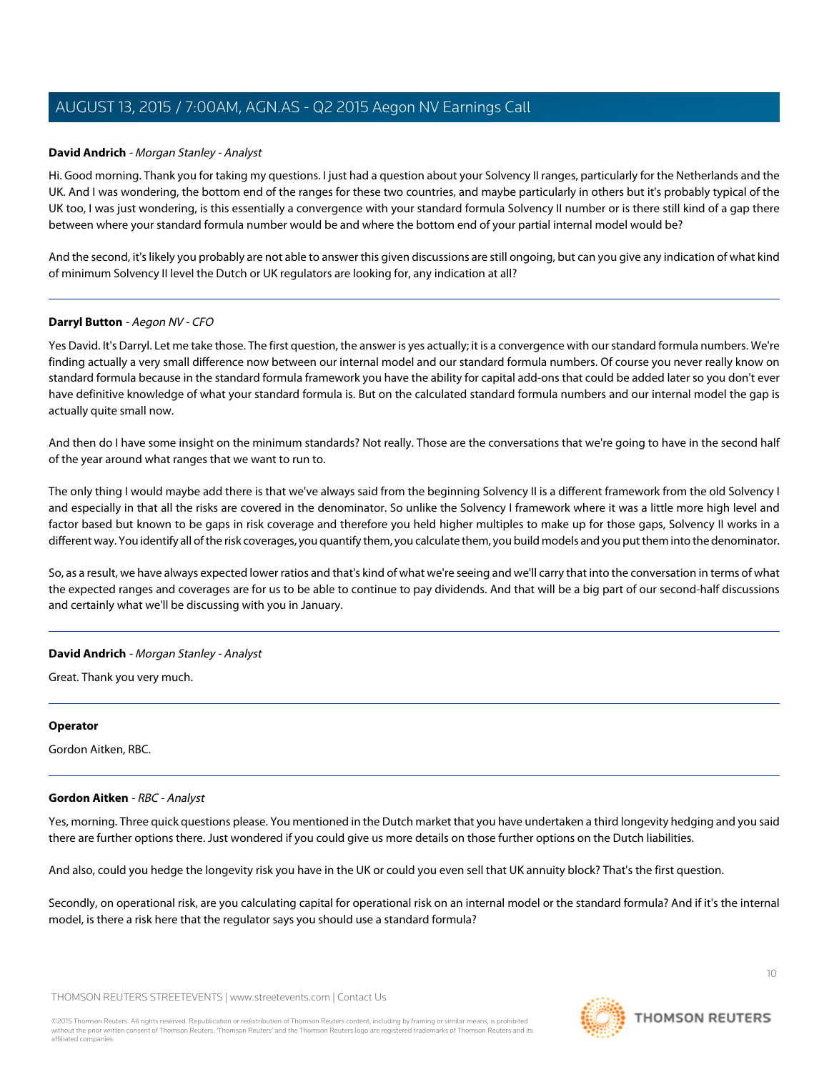### <span id="page-9-0"></span>**David Andrich** - Morgan Stanley - Analyst

Hi. Good morning. Thank you for taking my questions. I just had a question about your Solvency II ranges, particularly for the Netherlands and the UK. And I was wondering, the bottom end of the ranges for these two countries, and maybe particularly in others but it's probably typical of the UK too, I was just wondering, is this essentially a convergence with your standard formula Solvency II number or is there still kind of a gap there between where your standard formula number would be and where the bottom end of your partial internal model would be?

And the second, it's likely you probably are not able to answer this given discussions are still ongoing, but can you give any indication of what kind of minimum Solvency II level the Dutch or UK regulators are looking for, any indication at all?

### **Darryl Button** - Aegon NV - CFO

Yes David. It's Darryl. Let me take those. The first question, the answer is yes actually; it is a convergence with our standard formula numbers. We're finding actually a very small difference now between our internal model and our standard formula numbers. Of course you never really know on standard formula because in the standard formula framework you have the ability for capital add-ons that could be added later so you don't ever have definitive knowledge of what your standard formula is. But on the calculated standard formula numbers and our internal model the gap is actually quite small now.

And then do I have some insight on the minimum standards? Not really. Those are the conversations that we're going to have in the second half of the year around what ranges that we want to run to.

The only thing I would maybe add there is that we've always said from the beginning Solvency II is a different framework from the old Solvency I and especially in that all the risks are covered in the denominator. So unlike the Solvency I framework where it was a little more high level and factor based but known to be gaps in risk coverage and therefore you held higher multiples to make up for those gaps, Solvency II works in a different way. You identify all of the risk coverages, you quantify them, you calculate them, you build models and you put them into the denominator.

So, as a result, we have always expected lower ratios and that's kind of what we're seeing and we'll carry that into the conversation in terms of what the expected ranges and coverages are for us to be able to continue to pay dividends. And that will be a big part of our second-half discussions and certainly what we'll be discussing with you in January.

### **David Andrich** - Morgan Stanley - Analyst

Great. Thank you very much.

### <span id="page-9-1"></span>**Operator**

Gordon Aitken, RBC.

### **Gordon Aitken** - RBC - Analyst

Yes, morning. Three quick questions please. You mentioned in the Dutch market that you have undertaken a third longevity hedging and you said there are further options there. Just wondered if you could give us more details on those further options on the Dutch liabilities.

And also, could you hedge the longevity risk you have in the UK or could you even sell that UK annuity block? That's the first question.

Secondly, on operational risk, are you calculating capital for operational risk on an internal model or the standard formula? And if it's the internal model, is there a risk here that the regulator says you should use a standard formula?

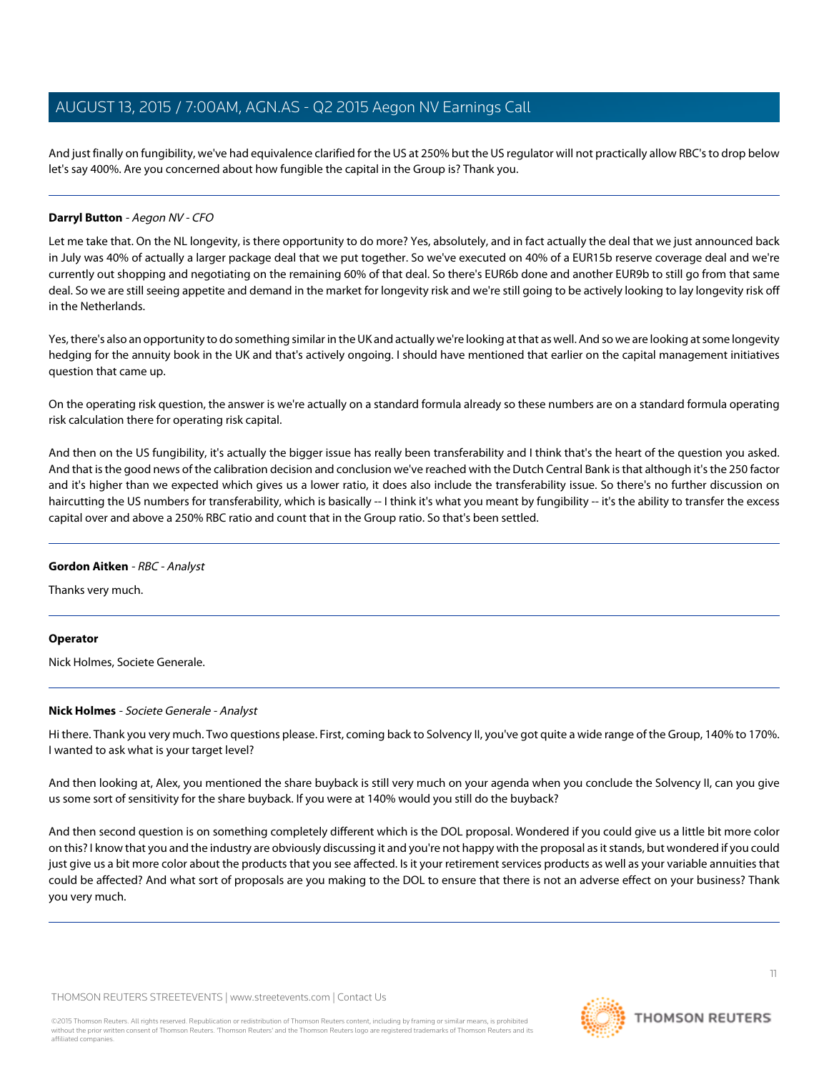And just finally on fungibility, we've had equivalence clarified for the US at 250% but the US regulator will not practically allow RBC's to drop below let's say 400%. Are you concerned about how fungible the capital in the Group is? Thank you.

### **Darryl Button** - Aegon NV - CFO

Let me take that. On the NL longevity, is there opportunity to do more? Yes, absolutely, and in fact actually the deal that we just announced back in July was 40% of actually a larger package deal that we put together. So we've executed on 40% of a EUR15b reserve coverage deal and we're currently out shopping and negotiating on the remaining 60% of that deal. So there's EUR6b done and another EUR9b to still go from that same deal. So we are still seeing appetite and demand in the market for longevity risk and we're still going to be actively looking to lay longevity risk off in the Netherlands.

Yes, there's also an opportunity to do something similar in the UK and actually we're looking at that as well. And so we are looking at some longevity hedging for the annuity book in the UK and that's actively ongoing. I should have mentioned that earlier on the capital management initiatives question that came up.

On the operating risk question, the answer is we're actually on a standard formula already so these numbers are on a standard formula operating risk calculation there for operating risk capital.

And then on the US fungibility, it's actually the bigger issue has really been transferability and I think that's the heart of the question you asked. And that is the good news of the calibration decision and conclusion we've reached with the Dutch Central Bank is that although it's the 250 factor and it's higher than we expected which gives us a lower ratio, it does also include the transferability issue. So there's no further discussion on haircutting the US numbers for transferability, which is basically -- I think it's what you meant by fungibility -- it's the ability to transfer the excess capital over and above a 250% RBC ratio and count that in the Group ratio. So that's been settled.

### **Gordon Aitken** - RBC - Analyst

Thanks very much.

### <span id="page-10-0"></span>**Operator**

Nick Holmes, Societe Generale.

### **Nick Holmes** - Societe Generale - Analyst

Hi there. Thank you very much. Two questions please. First, coming back to Solvency II, you've got quite a wide range of the Group, 140% to 170%. I wanted to ask what is your target level?

And then looking at, Alex, you mentioned the share buyback is still very much on your agenda when you conclude the Solvency II, can you give us some sort of sensitivity for the share buyback. If you were at 140% would you still do the buyback?

And then second question is on something completely different which is the DOL proposal. Wondered if you could give us a little bit more color on this? I know that you and the industry are obviously discussing it and you're not happy with the proposal as it stands, but wondered if you could just give us a bit more color about the products that you see affected. Is it your retirement services products as well as your variable annuities that could be affected? And what sort of proposals are you making to the DOL to ensure that there is not an adverse effect on your business? Thank you very much.

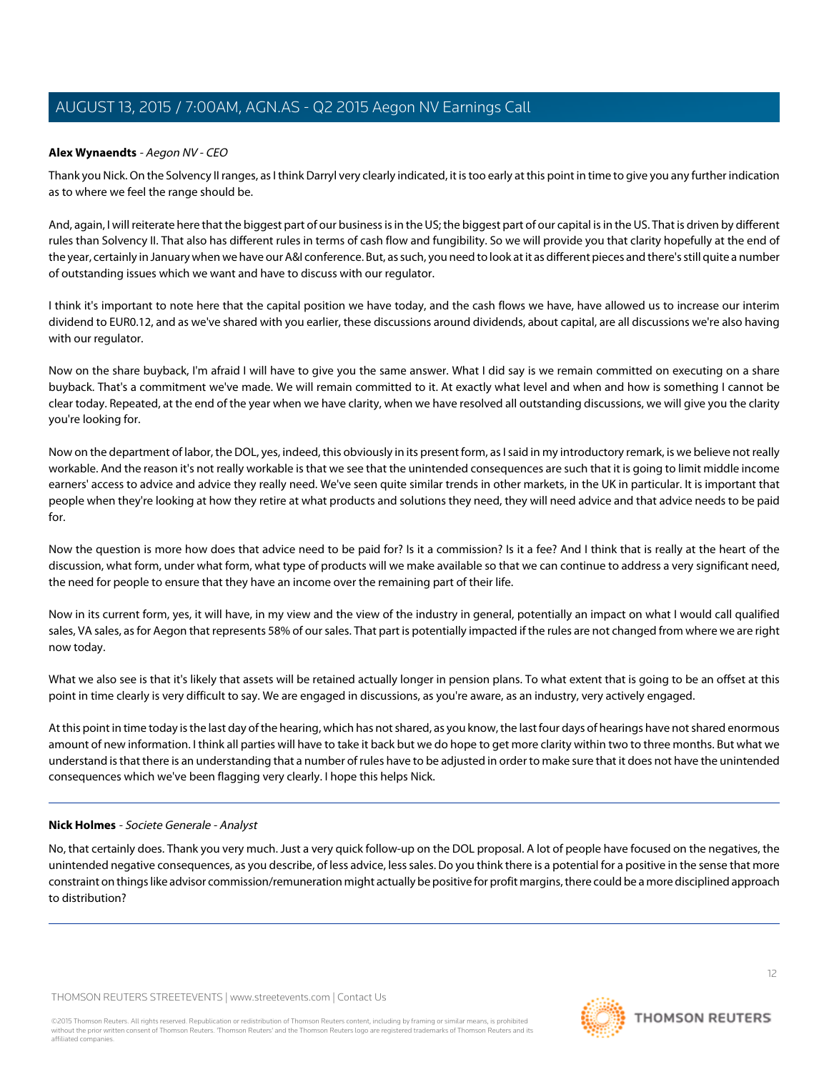### **Alex Wynaendts** - Aegon NV - CEO

Thank you Nick. On the Solvency II ranges, as I think Darryl very clearly indicated, it is too early at this point in time to give you any further indication as to where we feel the range should be.

And, again, I will reiterate here that the biggest part of our business is in the US; the biggest part of our capital is in the US. That is driven by different rules than Solvency II. That also has different rules in terms of cash flow and fungibility. So we will provide you that clarity hopefully at the end of the year, certainly in January when we have our A&I conference. But, as such, you need to look at it as different pieces and there's still quite a number of outstanding issues which we want and have to discuss with our regulator.

I think it's important to note here that the capital position we have today, and the cash flows we have, have allowed us to increase our interim dividend to EUR0.12, and as we've shared with you earlier, these discussions around dividends, about capital, are all discussions we're also having with our regulator.

Now on the share buyback, I'm afraid I will have to give you the same answer. What I did say is we remain committed on executing on a share buyback. That's a commitment we've made. We will remain committed to it. At exactly what level and when and how is something I cannot be clear today. Repeated, at the end of the year when we have clarity, when we have resolved all outstanding discussions, we will give you the clarity you're looking for.

Now on the department of labor, the DOL, yes, indeed, this obviously in its present form, as I said in my introductory remark, is we believe not really workable. And the reason it's not really workable is that we see that the unintended consequences are such that it is going to limit middle income earners' access to advice and advice they really need. We've seen quite similar trends in other markets, in the UK in particular. It is important that people when they're looking at how they retire at what products and solutions they need, they will need advice and that advice needs to be paid for.

Now the question is more how does that advice need to be paid for? Is it a commission? Is it a fee? And I think that is really at the heart of the discussion, what form, under what form, what type of products will we make available so that we can continue to address a very significant need, the need for people to ensure that they have an income over the remaining part of their life.

Now in its current form, yes, it will have, in my view and the view of the industry in general, potentially an impact on what I would call qualified sales, VA sales, as for Aegon that represents 58% of our sales. That part is potentially impacted if the rules are not changed from where we are right now today.

What we also see is that it's likely that assets will be retained actually longer in pension plans. To what extent that is going to be an offset at this point in time clearly is very difficult to say. We are engaged in discussions, as you're aware, as an industry, very actively engaged.

At this point in time today is the last day of the hearing, which has not shared, as you know, the last four days of hearings have not shared enormous amount of new information. I think all parties will have to take it back but we do hope to get more clarity within two to three months. But what we understand is that there is an understanding that a number of rules have to be adjusted in order to make sure that it does not have the unintended consequences which we've been flagging very clearly. I hope this helps Nick.

### **Nick Holmes** - Societe Generale - Analyst

No, that certainly does. Thank you very much. Just a very quick follow-up on the DOL proposal. A lot of people have focused on the negatives, the unintended negative consequences, as you describe, of less advice, less sales. Do you think there is a potential for a positive in the sense that more constraint on things like advisor commission/remuneration might actually be positive for profit margins, there could be a more disciplined approach to distribution?

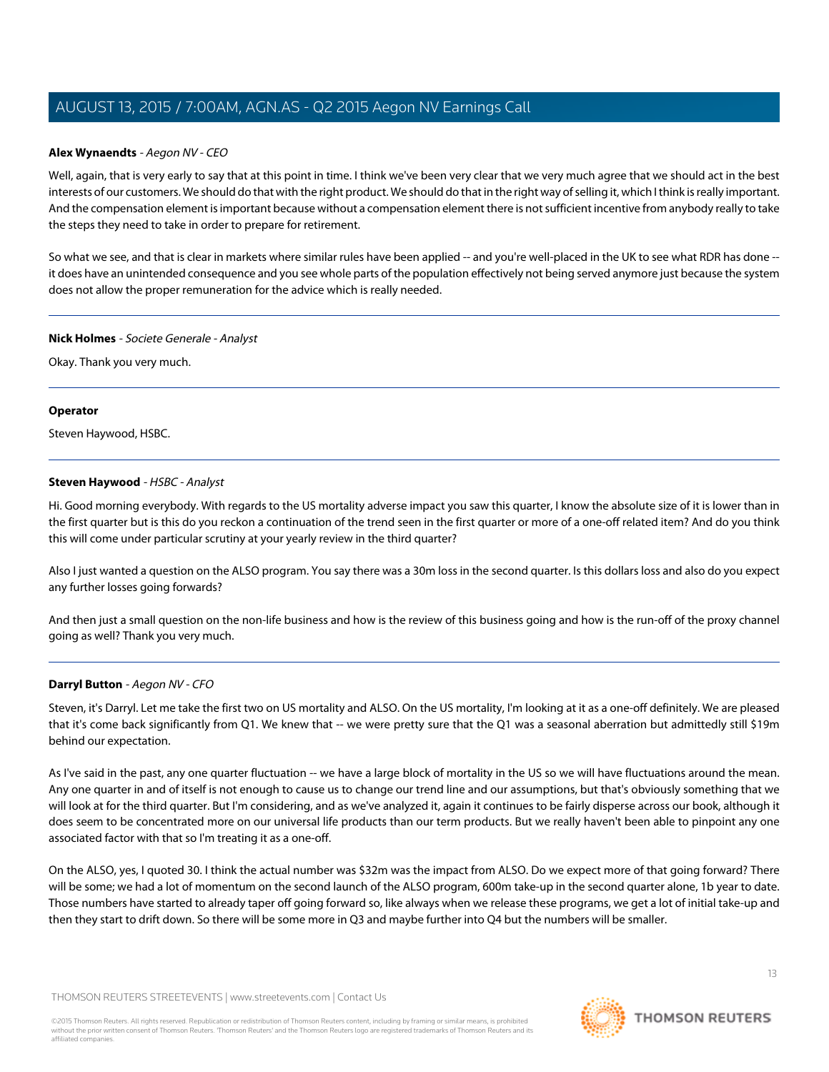### **Alex Wynaendts** - Aegon NV - CEO

Well, again, that is very early to say that at this point in time. I think we've been very clear that we very much agree that we should act in the best interests of our customers. We should do that with the right product. We should do that in the right way of selling it, which I think is really important. And the compensation element is important because without a compensation element there is not sufficient incentive from anybody really to take the steps they need to take in order to prepare for retirement.

So what we see, and that is clear in markets where similar rules have been applied -- and you're well-placed in the UK to see what RDR has done -it does have an unintended consequence and you see whole parts of the population effectively not being served anymore just because the system does not allow the proper remuneration for the advice which is really needed.

### **Nick Holmes** - Societe Generale - Analyst

Okay. Thank you very much.

### **Operator**

<span id="page-12-0"></span>Steven Haywood, HSBC.

### **Steven Haywood** - HSBC - Analyst

Hi. Good morning everybody. With regards to the US mortality adverse impact you saw this quarter, I know the absolute size of it is lower than in the first quarter but is this do you reckon a continuation of the trend seen in the first quarter or more of a one-off related item? And do you think this will come under particular scrutiny at your yearly review in the third quarter?

Also I just wanted a question on the ALSO program. You say there was a 30m loss in the second quarter. Is this dollars loss and also do you expect any further losses going forwards?

And then just a small question on the non-life business and how is the review of this business going and how is the run-off of the proxy channel going as well? Thank you very much.

### **Darryl Button** - Aegon NV - CFO

Steven, it's Darryl. Let me take the first two on US mortality and ALSO. On the US mortality, I'm looking at it as a one-off definitely. We are pleased that it's come back significantly from Q1. We knew that -- we were pretty sure that the Q1 was a seasonal aberration but admittedly still \$19m behind our expectation.

As I've said in the past, any one quarter fluctuation -- we have a large block of mortality in the US so we will have fluctuations around the mean. Any one quarter in and of itself is not enough to cause us to change our trend line and our assumptions, but that's obviously something that we will look at for the third quarter. But I'm considering, and as we've analyzed it, again it continues to be fairly disperse across our book, although it does seem to be concentrated more on our universal life products than our term products. But we really haven't been able to pinpoint any one associated factor with that so I'm treating it as a one-off.

On the ALSO, yes, I quoted 30. I think the actual number was \$32m was the impact from ALSO. Do we expect more of that going forward? There will be some; we had a lot of momentum on the second launch of the ALSO program, 600m take-up in the second quarter alone, 1b year to date. Those numbers have started to already taper off going forward so, like always when we release these programs, we get a lot of initial take-up and then they start to drift down. So there will be some more in Q3 and maybe further into Q4 but the numbers will be smaller.

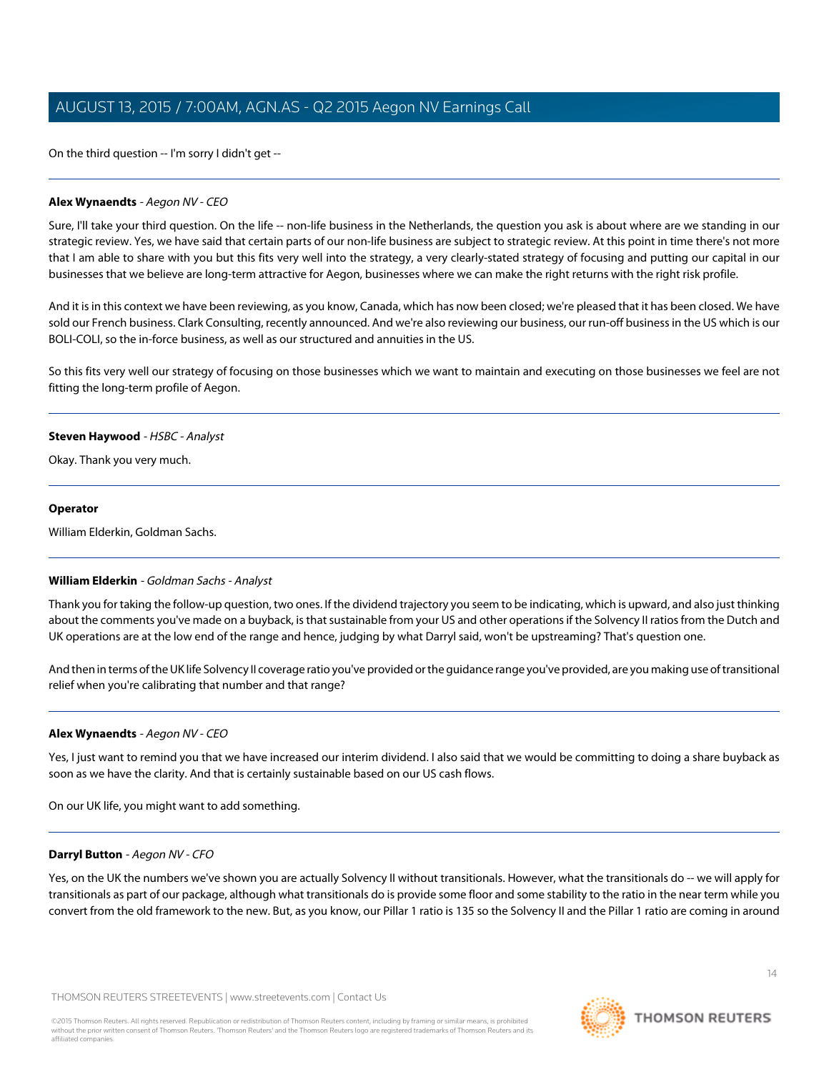On the third question -- I'm sorry I didn't get --

### **Alex Wynaendts** - Aegon NV - CEO

Sure, I'll take your third question. On the life -- non-life business in the Netherlands, the question you ask is about where are we standing in our strategic review. Yes, we have said that certain parts of our non-life business are subject to strategic review. At this point in time there's not more that I am able to share with you but this fits very well into the strategy, a very clearly-stated strategy of focusing and putting our capital in our businesses that we believe are long-term attractive for Aegon, businesses where we can make the right returns with the right risk profile.

And it is in this context we have been reviewing, as you know, Canada, which has now been closed; we're pleased that it has been closed. We have sold our French business. Clark Consulting, recently announced. And we're also reviewing our business, our run-off business in the US which is our BOLI-COLI, so the in-force business, as well as our structured and annuities in the US.

So this fits very well our strategy of focusing on those businesses which we want to maintain and executing on those businesses we feel are not fitting the long-term profile of Aegon.

### **Steven Haywood** - HSBC - Analyst

Okay. Thank you very much.

### **Operator**

William Elderkin, Goldman Sachs.

### **William Elderkin** - Goldman Sachs - Analyst

Thank you for taking the follow-up question, two ones. If the dividend trajectory you seem to be indicating, which is upward, and also just thinking about the comments you've made on a buyback, is that sustainable from your US and other operations if the Solvency II ratios from the Dutch and UK operations are at the low end of the range and hence, judging by what Darryl said, won't be upstreaming? That's question one.

And then in terms of the UK life Solvency II coverage ratio you've provided or the guidance range you've provided, are you making use of transitional relief when you're calibrating that number and that range?

### **Alex Wynaendts** - Aegon NV - CEO

Yes, I just want to remind you that we have increased our interim dividend. I also said that we would be committing to doing a share buyback as soon as we have the clarity. And that is certainly sustainable based on our US cash flows.

On our UK life, you might want to add something.

### **Darryl Button** - Aegon NV - CFO

Yes, on the UK the numbers we've shown you are actually Solvency II without transitionals. However, what the transitionals do -- we will apply for transitionals as part of our package, although what transitionals do is provide some floor and some stability to the ratio in the near term while you convert from the old framework to the new. But, as you know, our Pillar 1 ratio is 135 so the Solvency II and the Pillar 1 ratio are coming in around

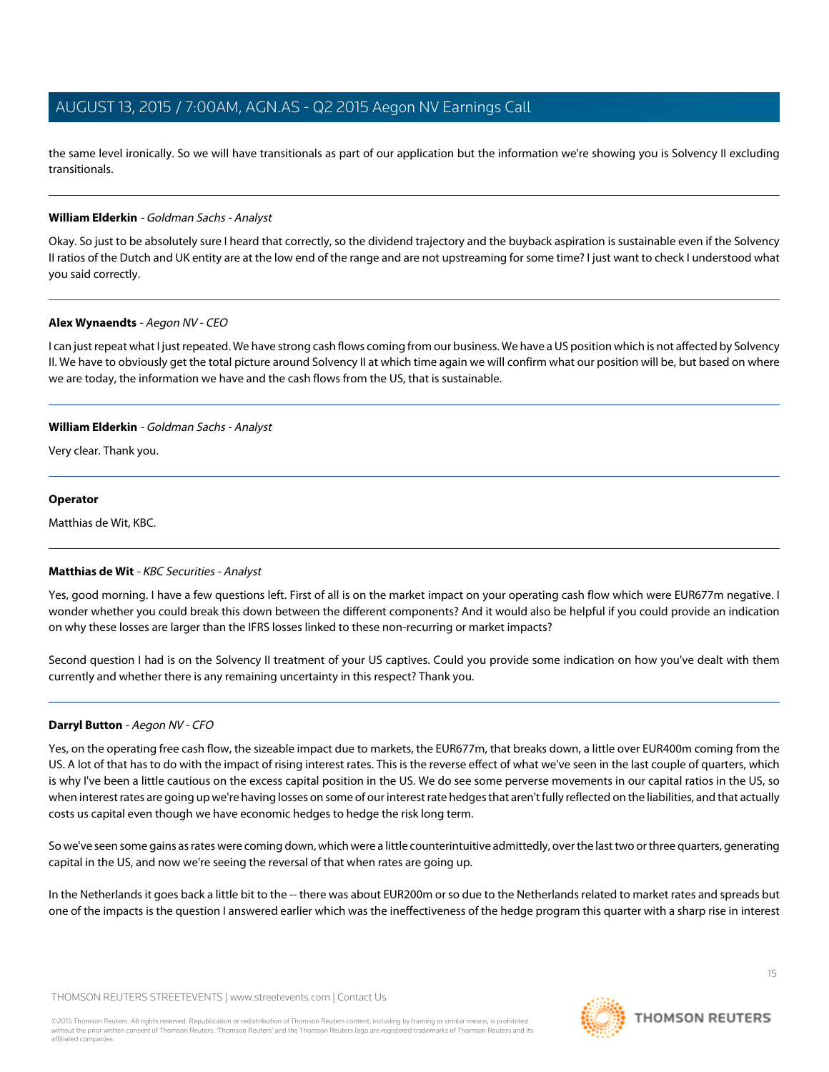the same level ironically. So we will have transitionals as part of our application but the information we're showing you is Solvency II excluding transitionals.

### **William Elderkin** - Goldman Sachs - Analyst

Okay. So just to be absolutely sure I heard that correctly, so the dividend trajectory and the buyback aspiration is sustainable even if the Solvency II ratios of the Dutch and UK entity are at the low end of the range and are not upstreaming for some time? I just want to check I understood what you said correctly.

### **Alex Wynaendts** - Aegon NV - CEO

I can just repeat what I just repeated. We have strong cash flows coming from our business. We have a US position which is not affected by Solvency II. We have to obviously get the total picture around Solvency II at which time again we will confirm what our position will be, but based on where we are today, the information we have and the cash flows from the US, that is sustainable.

### **William Elderkin** - Goldman Sachs - Analyst

Very clear. Thank you.

### **Operator**

<span id="page-14-0"></span>Matthias de Wit, KBC.

### **Matthias de Wit** - KBC Securities - Analyst

Yes, good morning. I have a few questions left. First of all is on the market impact on your operating cash flow which were EUR677m negative. I wonder whether you could break this down between the different components? And it would also be helpful if you could provide an indication on why these losses are larger than the IFRS losses linked to these non-recurring or market impacts?

Second question I had is on the Solvency II treatment of your US captives. Could you provide some indication on how you've dealt with them currently and whether there is any remaining uncertainty in this respect? Thank you.

### **Darryl Button** - Aegon NV - CFO

Yes, on the operating free cash flow, the sizeable impact due to markets, the EUR677m, that breaks down, a little over EUR400m coming from the US. A lot of that has to do with the impact of rising interest rates. This is the reverse effect of what we've seen in the last couple of quarters, which is why I've been a little cautious on the excess capital position in the US. We do see some perverse movements in our capital ratios in the US, so when interest rates are going up we're having losses on some of our interest rate hedges that aren't fully reflected on the liabilities, and that actually costs us capital even though we have economic hedges to hedge the risk long term.

So we've seen some gains as rates were coming down, which were a little counterintuitive admittedly, over the last two or three quarters, generating capital in the US, and now we're seeing the reversal of that when rates are going up.

In the Netherlands it goes back a little bit to the -- there was about EUR200m or so due to the Netherlands related to market rates and spreads but one of the impacts is the question I answered earlier which was the ineffectiveness of the hedge program this quarter with a sharp rise in interest

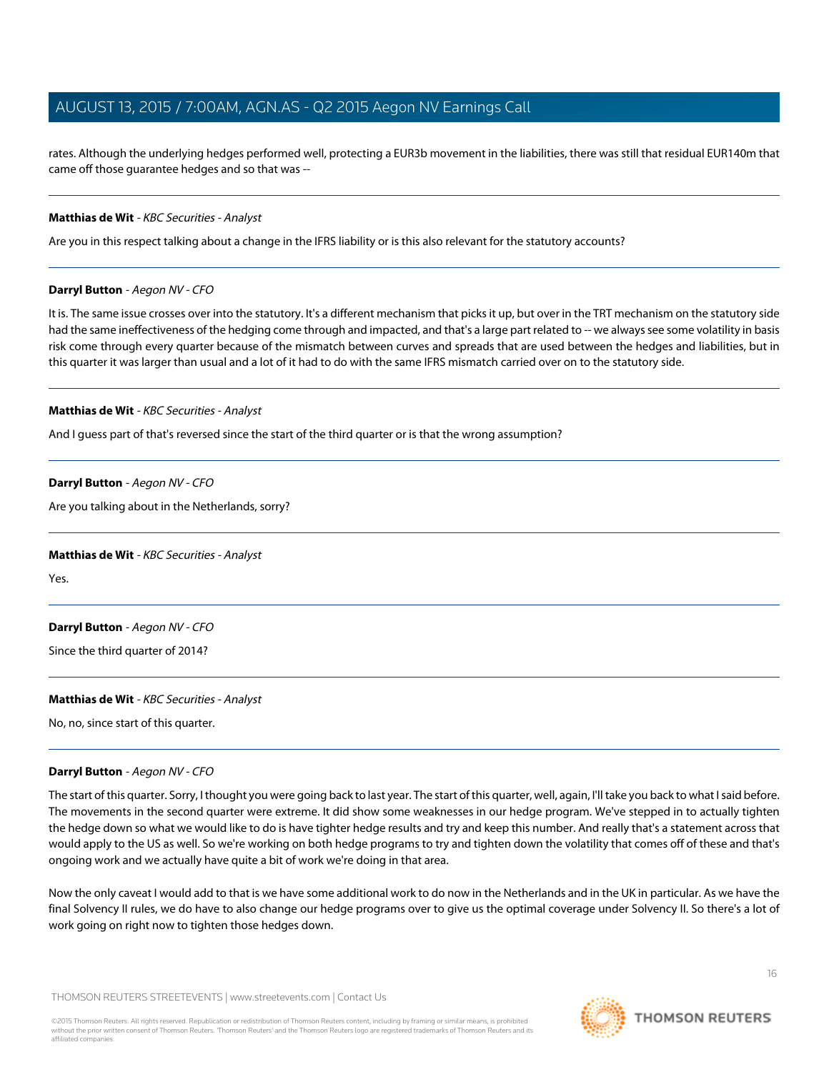rates. Although the underlying hedges performed well, protecting a EUR3b movement in the liabilities, there was still that residual EUR140m that came off those guarantee hedges and so that was --

### **Matthias de Wit** - KBC Securities - Analyst

Are you in this respect talking about a change in the IFRS liability or is this also relevant for the statutory accounts?

### **Darryl Button** - Aegon NV - CFO

It is. The same issue crosses over into the statutory. It's a different mechanism that picks it up, but over in the TRT mechanism on the statutory side had the same ineffectiveness of the hedging come through and impacted, and that's a large part related to -- we always see some volatility in basis risk come through every quarter because of the mismatch between curves and spreads that are used between the hedges and liabilities, but in this quarter it was larger than usual and a lot of it had to do with the same IFRS mismatch carried over on to the statutory side.

#### **Matthias de Wit** - KBC Securities - Analyst

And I guess part of that's reversed since the start of the third quarter or is that the wrong assumption?

### **Darryl Button** - Aegon NV - CFO

Are you talking about in the Netherlands, sorry?

#### **Matthias de Wit** - KBC Securities - Analyst

Yes.

### **Darryl Button** - Aegon NV - CFO

Since the third quarter of 2014?

### **Matthias de Wit** - KBC Securities - Analyst

No, no, since start of this quarter.

### **Darryl Button** - Aegon NV - CFO

The start of this quarter. Sorry, I thought you were going back to last year. The start of this quarter, well, again, I'll take you back to what I said before. The movements in the second quarter were extreme. It did show some weaknesses in our hedge program. We've stepped in to actually tighten the hedge down so what we would like to do is have tighter hedge results and try and keep this number. And really that's a statement across that would apply to the US as well. So we're working on both hedge programs to try and tighten down the volatility that comes off of these and that's ongoing work and we actually have quite a bit of work we're doing in that area.

Now the only caveat I would add to that is we have some additional work to do now in the Netherlands and in the UK in particular. As we have the final Solvency II rules, we do have to also change our hedge programs over to give us the optimal coverage under Solvency II. So there's a lot of work going on right now to tighten those hedges down.

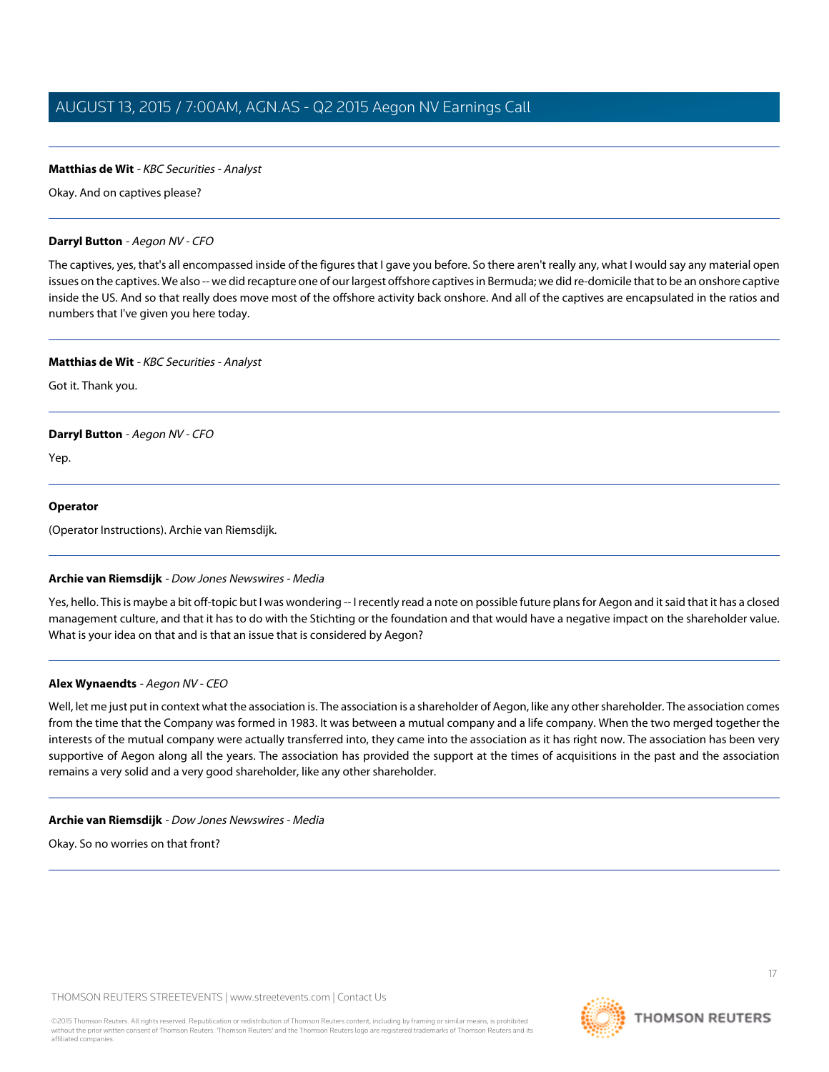### **Matthias de Wit** - KBC Securities - Analyst

Okay. And on captives please?

### **Darryl Button** - Aegon NV - CFO

The captives, yes, that's all encompassed inside of the figures that I gave you before. So there aren't really any, what I would say any material open issues on the captives. We also -- we did recapture one of our largest offshore captives in Bermuda; we did re-domicile that to be an onshore captive inside the US. And so that really does move most of the offshore activity back onshore. And all of the captives are encapsulated in the ratios and numbers that I've given you here today.

### **Matthias de Wit** - KBC Securities - Analyst

Got it. Thank you.

### **Darryl Button** - Aegon NV - CFO

Yep.

### **Operator**

<span id="page-16-0"></span>(Operator Instructions). Archie van Riemsdijk.

### **Archie van Riemsdijk** - Dow Jones Newswires - Media

Yes, hello. This is maybe a bit off-topic but I was wondering -- I recently read a note on possible future plans for Aegon and it said that it has a closed management culture, and that it has to do with the Stichting or the foundation and that would have a negative impact on the shareholder value. What is your idea on that and is that an issue that is considered by Aegon?

### **Alex Wynaendts** - Aegon NV - CEO

Well, let me just put in context what the association is. The association is a shareholder of Aegon, like any other shareholder. The association comes from the time that the Company was formed in 1983. It was between a mutual company and a life company. When the two merged together the interests of the mutual company were actually transferred into, they came into the association as it has right now. The association has been very supportive of Aegon along all the years. The association has provided the support at the times of acquisitions in the past and the association remains a very solid and a very good shareholder, like any other shareholder.

### **Archie van Riemsdijk** - Dow Jones Newswires - Media

Okay. So no worries on that front?